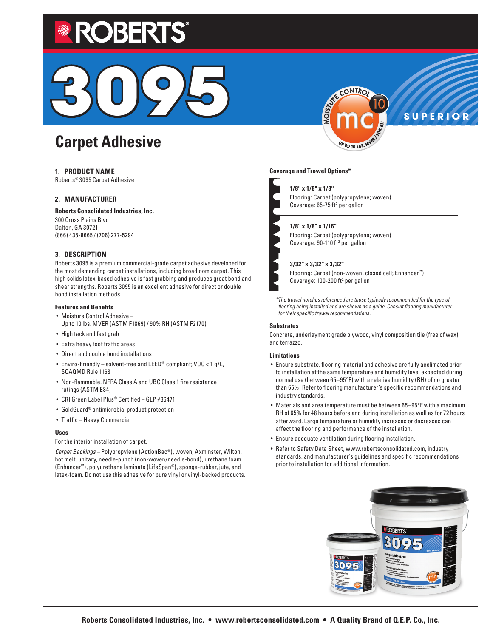# DBERT



# **Carpet Adhesive**

# **1. PRODUCT NAME**

Roberts® 3095 Carpet Adhesive

# **2. MANUFACTURER**

**Roberts Consolidated Industries, Inc.** 300 Cross Plains Blvd Dalton, GA 30721 (866) 435-8665 / (706) 277-5294

# **3. DESCRIPTION**

Roberts 3095 is a premium commercial-grade carpet adhesive developed for the most demanding carpet installations, including broadloom carpet. This high solids latex-based adhesive is fast grabbing and produces great bond and shear strengths. Roberts 3095 is an excellent adhesive for direct or double bond installation methods.

#### **Features and Benefits**

- Moisture Control Adhesive Up to 10 lbs. MVER (ASTM F1869) / 90% RH (ASTM F2170)
- High tack and fast grab
- Extra heavy foot traffic areas
- Direct and double bond installations
- Enviro-Friendly solvent-free and LEED® compliant; VOC < 1 g/L, SCAQMD Rule 1168
- Non-flammable. NFPA Class A and UBC Class 1 fire resistance ratings (ASTM E84)
- CRI Green Label Plus® Certified GLP #36471
- GoldGuard® antimicrobial product protection
- Traffic Heavy Commercial

#### **Uses**

For the interior installation of carpet.

*Carpet Backings* – Polypropylene (ActionBac®), woven, Axminster, Wilton, hot melt, unitary, needle-punch (non-woven/needle-bond), urethane foam (Enhancer™), polyurethane laminate (LifeSpan®), sponge-rubber, jute, and latex-foam. Do not use this adhesive for pure vinyl or vinyl-backed products.



**SUPERIOR**

#### **Coverage and Trowel Options\***

#### **1/8" x 1/8" x 1/8"**

Flooring: Carpet (polypropylene; woven) Coverage: 65-75 ft<sup>2</sup> per gallon

#### **1/8" x 1/8" x 1/16"**

Flooring: Carpet (polypropylene; woven) Coverage: 90-110 ft<sup>2</sup> per gallon

#### **3/32" x 3/32" x 3/32"**

Flooring: Carpet (non-woven; closed cell; Enhancer™) Coverage:  $100 - 200$  ft<sup>2</sup> per gallon

*\*The trowel notches referenced are those typically recommended for the type of flooring being installed and are shown as a guide. Consult flooring manufacturer for their specific trowel recommendations.*

#### **Substrates**

Concrete, underlayment grade plywood, vinyl composition tile (free of wax) and terrazzo.

#### **Limitations**

- Ensure substrate, flooring material and adhesive are fully acclimated prior to installation at the same temperature and humidity level expected during normal use (between 65–95°F) with a relative humidity (RH) of no greater than 65%. Refer to flooring manufacturer's specific recommendations and industry standards.
- Materials and area temperature must be between 65–95°F with a maximum RH of 65% for 48 hours before and during installation as well as for 72 hours afterward. Large temperature or humidity increases or decreases can affect the flooring and performance of the installation.
- Ensure adequate ventilation during flooring installation.
- Refer to Safety Data Sheet, www.robertsconsolidated.com, industry standards, and manufacturer's guidelines and specific recommendations prior to installation for additional information.